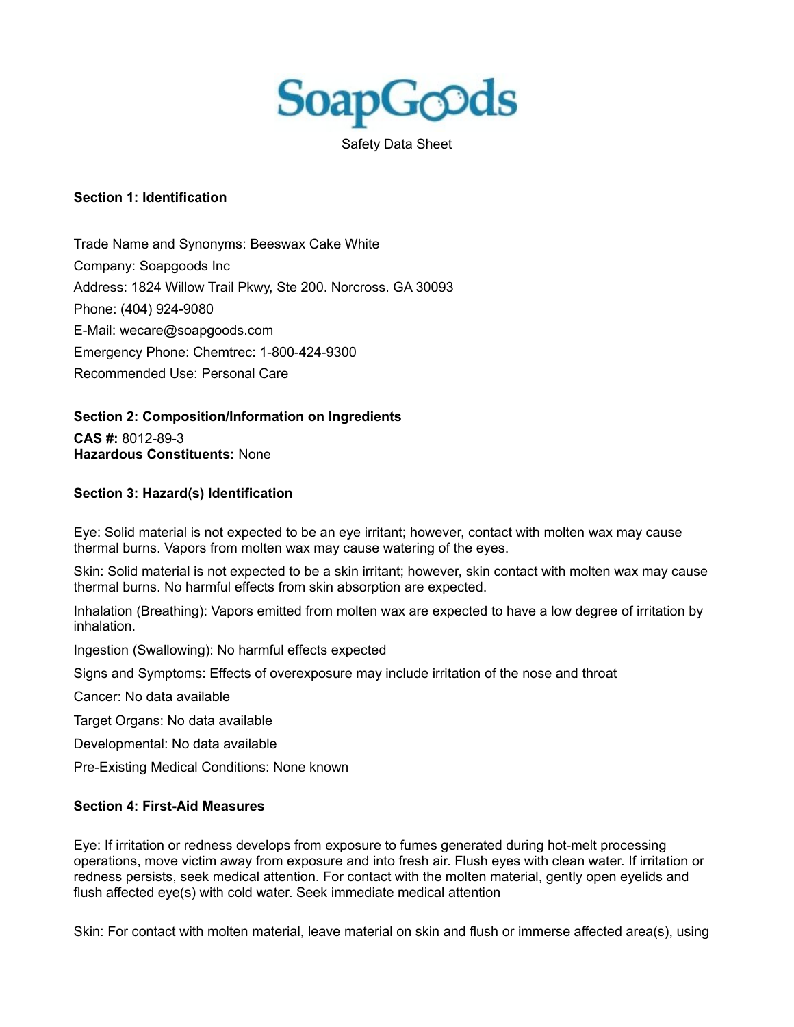

Safety Data Sheet

## **Section 1: Identification**

Trade Name and Synonyms: Beeswax Cake White Company: Soapgoods Inc Address: 1824 Willow Trail Pkwy, Ste 200. Norcross. GA 30093 Phone: (404) 924-9080 E-Mail: wecare@soapgoods.com Emergency Phone: Chemtrec: 1-800-424-9300 Recommended Use: Personal Care

**Section 2: Composition/Information on Ingredients**

**CAS #:** 8012-89-3 **Hazardous Constituents:** None

## **Section 3: Hazard(s) Identification**

Eye: Solid material is not expected to be an eye irritant; however, contact with molten wax may cause thermal burns. Vapors from molten wax may cause watering of the eyes.

Skin: Solid material is not expected to be a skin irritant; however, skin contact with molten wax may cause thermal burns. No harmful effects from skin absorption are expected.

Inhalation (Breathing): Vapors emitted from molten wax are expected to have a low degree of irritation by inhalation.

Ingestion (Swallowing): No harmful effects expected

Signs and Symptoms: Effects of overexposure may include irritation of the nose and throat

Cancer: No data available

Target Organs: No data available

Developmental: No data available

Pre-Existing Medical Conditions: None known

### **Section 4: First-Aid Measures**

Eye: If irritation or redness develops from exposure to fumes generated during hot-melt processing operations, move victim away from exposure and into fresh air. Flush eyes with clean water. If irritation or redness persists, seek medical attention. For contact with the molten material, gently open eyelids and flush affected eye(s) with cold water. Seek immediate medical attention

Skin: For contact with molten material, leave material on skin and flush or immerse affected area(s), using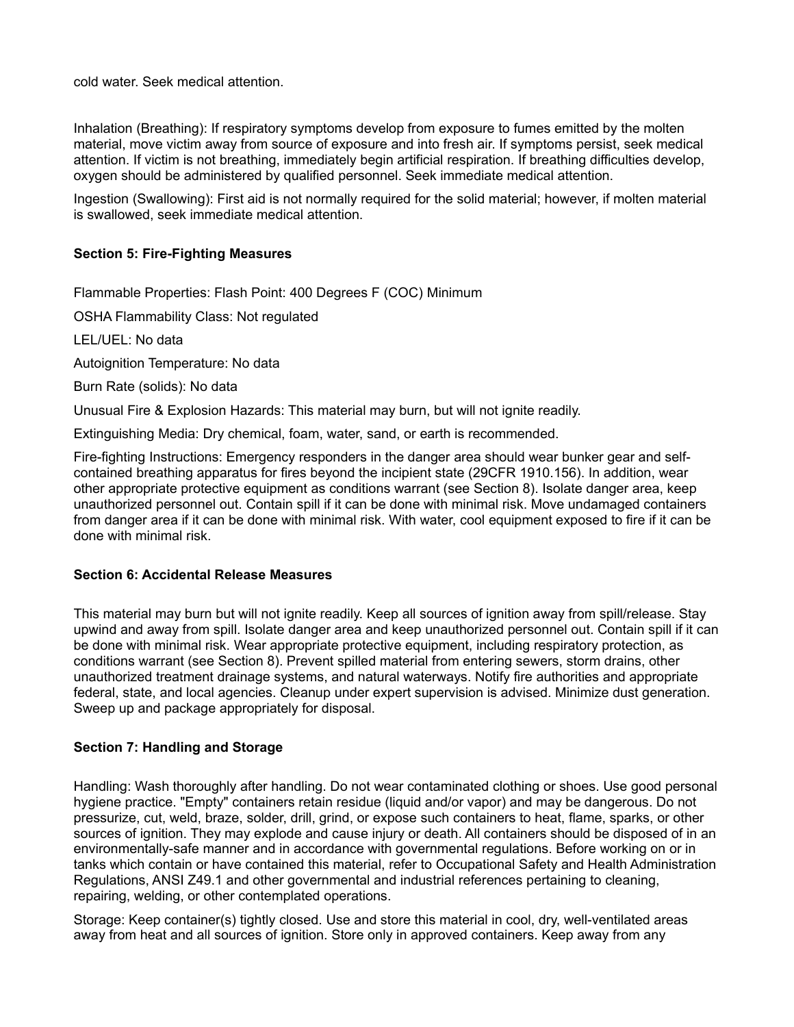cold water. Seek medical attention.

Inhalation (Breathing): If respiratory symptoms develop from exposure to fumes emitted by the molten material, move victim away from source of exposure and into fresh air. If symptoms persist, seek medical attention. If victim is not breathing, immediately begin artificial respiration. If breathing difficulties develop, oxygen should be administered by qualified personnel. Seek immediate medical attention.

Ingestion (Swallowing): First aid is not normally required for the solid material; however, if molten material is swallowed, seek immediate medical attention.

# **Section 5: Fire-Fighting Measures**

Flammable Properties: Flash Point: 400 Degrees F (COC) Minimum

OSHA Flammability Class: Not regulated

LEL/UEL: No data

Autoignition Temperature: No data

Burn Rate (solids): No data

Unusual Fire & Explosion Hazards: This material may burn, but will not ignite readily.

Extinguishing Media: Dry chemical, foam, water, sand, or earth is recommended.

Fire-fighting Instructions: Emergency responders in the danger area should wear bunker gear and selfcontained breathing apparatus for fires beyond the incipient state (29CFR 1910.156). In addition, wear other appropriate protective equipment as conditions warrant (see Section 8). Isolate danger area, keep unauthorized personnel out. Contain spill if it can be done with minimal risk. Move undamaged containers from danger area if it can be done with minimal risk. With water, cool equipment exposed to fire if it can be done with minimal risk.

### **Section 6: Accidental Release Measures**

This material may burn but will not ignite readily. Keep all sources of ignition away from spill/release. Stay upwind and away from spill. Isolate danger area and keep unauthorized personnel out. Contain spill if it can be done with minimal risk. Wear appropriate protective equipment, including respiratory protection, as conditions warrant (see Section 8). Prevent spilled material from entering sewers, storm drains, other unauthorized treatment drainage systems, and natural waterways. Notify fire authorities and appropriate federal, state, and local agencies. Cleanup under expert supervision is advised. Minimize dust generation. Sweep up and package appropriately for disposal.

## **Section 7: Handling and Storage**

Handling: Wash thoroughly after handling. Do not wear contaminated clothing or shoes. Use good personal hygiene practice. "Empty" containers retain residue (liquid and/or vapor) and may be dangerous. Do not pressurize, cut, weld, braze, solder, drill, grind, or expose such containers to heat, flame, sparks, or other sources of ignition. They may explode and cause injury or death. All containers should be disposed of in an environmentally-safe manner and in accordance with governmental regulations. Before working on or in tanks which contain or have contained this material, refer to Occupational Safety and Health Administration Regulations, ANSI Z49.1 and other governmental and industrial references pertaining to cleaning, repairing, welding, or other contemplated operations.

Storage: Keep container(s) tightly closed. Use and store this material in cool, dry, well-ventilated areas away from heat and all sources of ignition. Store only in approved containers. Keep away from any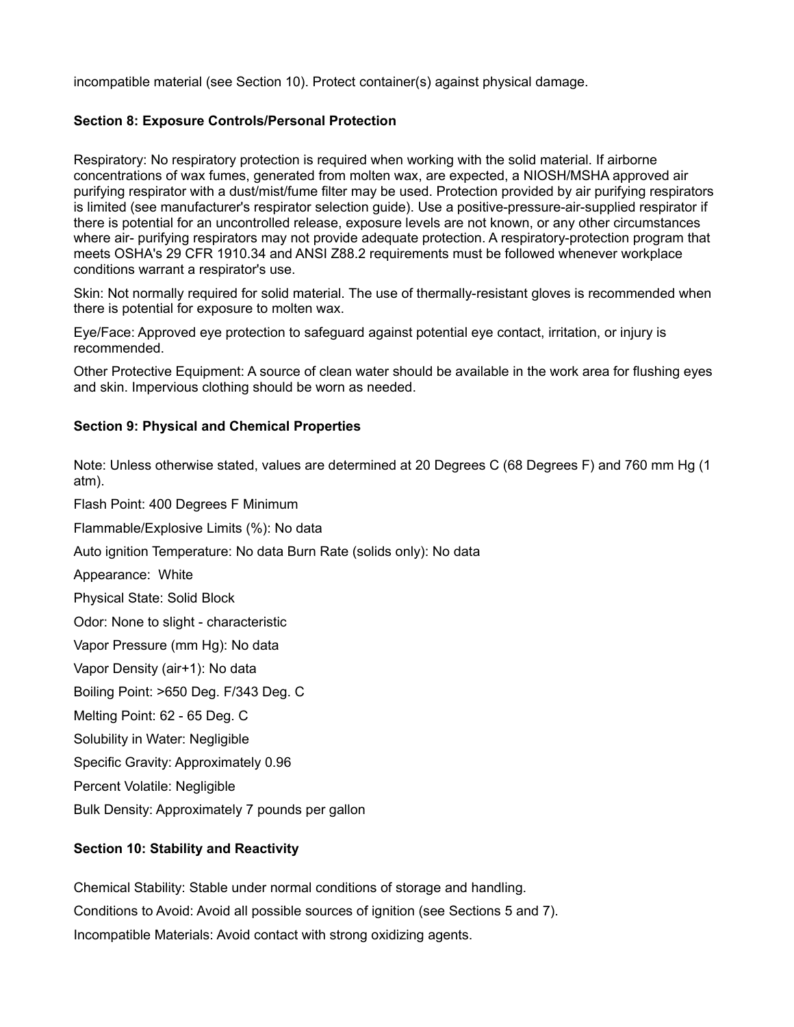incompatible material (see Section 10). Protect container(s) against physical damage.

# **Section 8: Exposure Controls/Personal Protection**

Respiratory: No respiratory protection is required when working with the solid material. If airborne concentrations of wax fumes, generated from molten wax, are expected, a NIOSH/MSHA approved air purifying respirator with a dust/mist/fume filter may be used. Protection provided by air purifying respirators is limited (see manufacturer's respirator selection guide). Use a positive-pressure-air-supplied respirator if there is potential for an uncontrolled release, exposure levels are not known, or any other circumstances where air- purifying respirators may not provide adequate protection. A respiratory-protection program that meets OSHA's 29 CFR 1910.34 and ANSI Z88.2 requirements must be followed whenever workplace conditions warrant a respirator's use.

Skin: Not normally required for solid material. The use of thermally-resistant gloves is recommended when there is potential for exposure to molten wax.

Eye/Face: Approved eye protection to safeguard against potential eye contact, irritation, or injury is recommended.

Other Protective Equipment: A source of clean water should be available in the work area for flushing eyes and skin. Impervious clothing should be worn as needed.

## **Section 9: Physical and Chemical Properties**

Note: Unless otherwise stated, values are determined at 20 Degrees C (68 Degrees F) and 760 mm Hg (1 atm).

Flash Point: 400 Degrees F Minimum

Flammable/Explosive Limits (%): No data

Auto ignition Temperature: No data Burn Rate (solids only): No data

Appearance: White

Physical State: Solid Block

Odor: None to slight - characteristic

Vapor Pressure (mm Hg): No data

Vapor Density (air+1): No data

Boiling Point: >650 Deg. F/343 Deg. C

Melting Point: 62 - 65 Deg. C

Solubility in Water: Negligible

Specific Gravity: Approximately 0.96

Percent Volatile: Negligible

Bulk Density: Approximately 7 pounds per gallon

# **Section 10: Stability and Reactivity**

Chemical Stability: Stable under normal conditions of storage and handling. Conditions to Avoid: Avoid all possible sources of ignition (see Sections 5 and 7). Incompatible Materials: Avoid contact with strong oxidizing agents.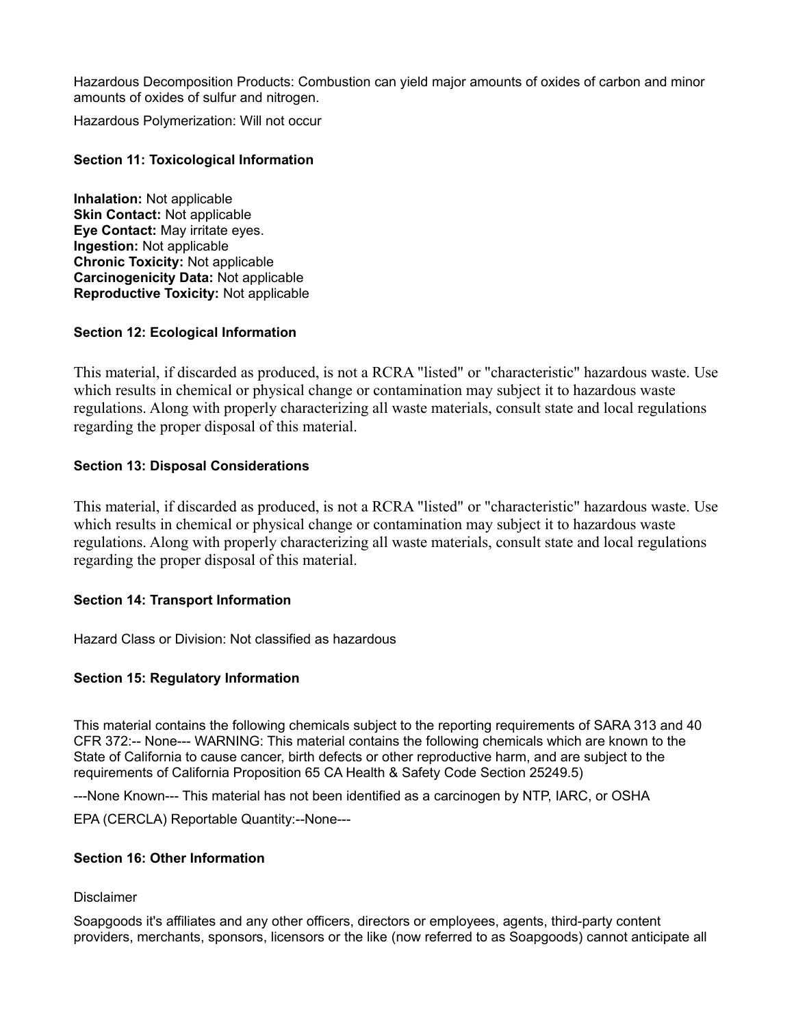Hazardous Decomposition Products: Combustion can yield major amounts of oxides of carbon and minor amounts of oxides of sulfur and nitrogen.

Hazardous Polymerization: Will not occur

## **Section 11: Toxicological Information**

**Inhalation:** Not applicable **Skin Contact:** Not applicable **Eye Contact:** May irritate eyes. **Ingestion:** Not applicable **Chronic Toxicity:** Not applicable **Carcinogenicity Data:** Not applicable **Reproductive Toxicity:** Not applicable

### **Section 12: Ecological Information**

This material, if discarded as produced, is not a RCRA "listed" or "characteristic" hazardous waste. Use which results in chemical or physical change or contamination may subject it to hazardous waste regulations. Along with properly characterizing all waste materials, consult state and local regulations regarding the proper disposal of this material.

### **Section 13: Disposal Considerations**

This material, if discarded as produced, is not a RCRA "listed" or "characteristic" hazardous waste. Use which results in chemical or physical change or contamination may subject it to hazardous waste regulations. Along with properly characterizing all waste materials, consult state and local regulations regarding the proper disposal of this material.

#### **Section 14: Transport Information**

Hazard Class or Division: Not classified as hazardous

### **Section 15: Regulatory Information**

This material contains the following chemicals subject to the reporting requirements of SARA 313 and 40 CFR 372:-- None--- WARNING: This material contains the following chemicals which are known to the State of California to cause cancer, birth defects or other reproductive harm, and are subject to the requirements of California Proposition 65 CA Health & Safety Code Section 25249.5)

---None Known--- This material has not been identified as a carcinogen by NTP, IARC, or OSHA

EPA (CERCLA) Reportable Quantity:--None---

## **Section 16: Other Information**

### **Disclaimer**

Soapgoods it's affiliates and any other officers, directors or employees, agents, third-party content providers, merchants, sponsors, licensors or the like (now referred to as Soapgoods) cannot anticipate all